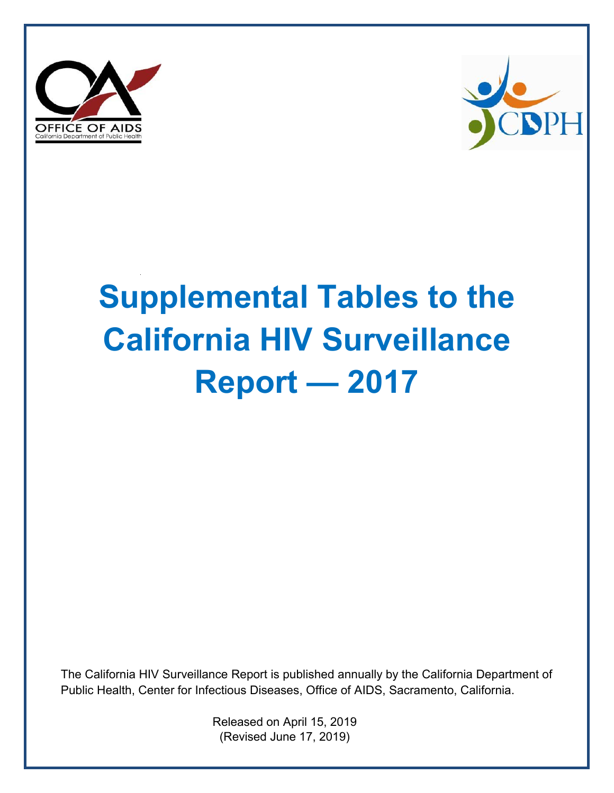



## **Supplemental Tables to the California HIV Surveillance Report — 2017**

The California HIV Surveillance Report is published annually by the California Department of Public Health, Center for Infectious Diseases, Office of AIDS, Sacramento, California.

> Released on April 15, 2019 (Revised June 17, 2019)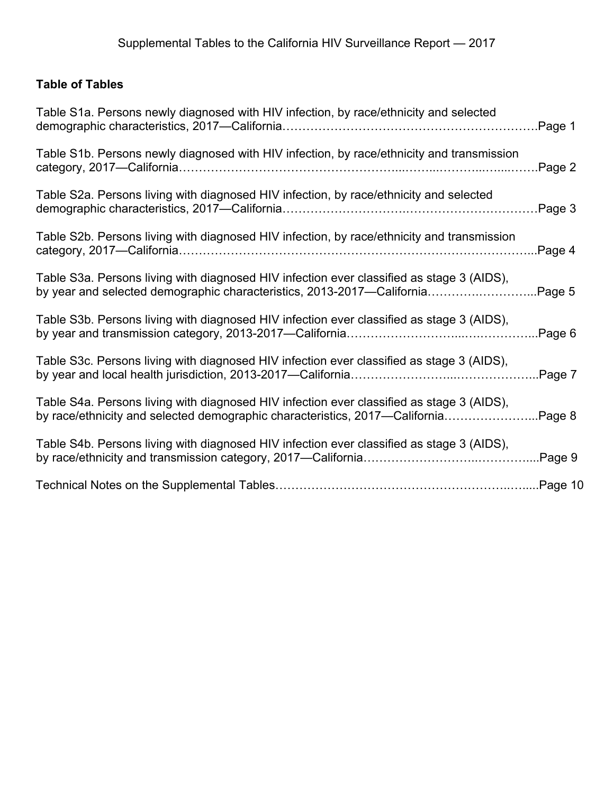## **Table of Tables**

| Table S1a. Persons newly diagnosed with HIV infection, by race/ethnicity and selected                                                                                    | Page 1  |
|--------------------------------------------------------------------------------------------------------------------------------------------------------------------------|---------|
| Table S1b. Persons newly diagnosed with HIV infection, by race/ethnicity and transmission                                                                                | Page 2  |
| Table S2a. Persons living with diagnosed HIV infection, by race/ethnicity and selected                                                                                   | Page 3  |
| Table S2b. Persons living with diagnosed HIV infection, by race/ethnicity and transmission                                                                               | Page 4  |
| Table S3a. Persons living with diagnosed HIV infection ever classified as stage 3 (AIDS),<br>by year and selected demographic characteristics, 2013-2017—California      | Page 5  |
| Table S3b. Persons living with diagnosed HIV infection ever classified as stage 3 (AIDS),                                                                                | Page 6  |
| Table S3c. Persons living with diagnosed HIV infection ever classified as stage 3 (AIDS),                                                                                | Page 7  |
| Table S4a. Persons living with diagnosed HIV infection ever classified as stage 3 (AIDS),<br>by race/ethnicity and selected demographic characteristics, 2017—California | Page 8  |
| Table S4b. Persons living with diagnosed HIV infection ever classified as stage 3 (AIDS),                                                                                | Page 9  |
|                                                                                                                                                                          | Page 10 |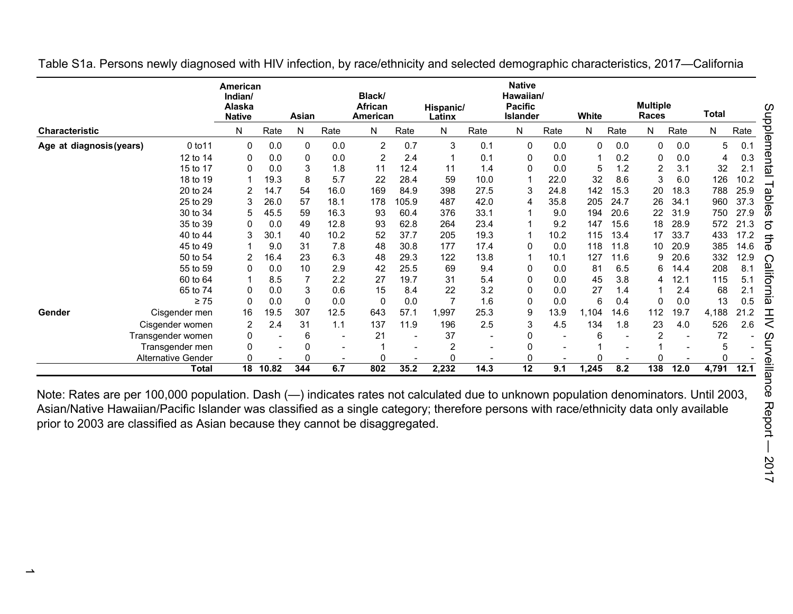|                       |                                     | American<br>Indian/<br>Alaska<br><b>Native</b> |       | Asian        |                | Black/<br>African<br>American |       | Hispanic/<br>Latinx |                          | <b>Native</b><br>Hawaiian/<br><b>Pacific</b><br><b>Islander</b> |      | White |      | <b>Multiple</b><br>Races |      | Total        |      |
|-----------------------|-------------------------------------|------------------------------------------------|-------|--------------|----------------|-------------------------------|-------|---------------------|--------------------------|-----------------------------------------------------------------|------|-------|------|--------------------------|------|--------------|------|
| <b>Characteristic</b> |                                     | N                                              | Rate  | N            | Rate           | N                             | Rate  | N                   | Rate                     | N                                                               | Rate | N     | Rate | N                        | Rate | N            | Rate |
|                       | Age at diagnosis (years)<br>0 to 11 | $\Omega$                                       | 0.0   | 0            | 0.0            | $\overline{2}$                | 0.7   | 3                   | 0.1                      | 0                                                               | 0.0  | 0     | 0.0  | $\Omega$                 | 0.0  | 5            | 0.1  |
|                       | 12 to 14                            |                                                | 0.0   | $\mathbf{0}$ | 0.0            | 2                             | 2.4   | 1                   | 0.1                      | 0                                                               | 0.0  |       | 0.2  | 0                        | 0.0  | 4            | 0.3  |
|                       | 15 to 17                            |                                                | 0.0   | 3            | 1.8            | 11                            | 12.4  | 11                  | 1.4                      | 0                                                               | 0.0  | 5     | 1.2  | $\overline{2}$           | 3.1  | 32           | 2.1  |
|                       | 18 to 19                            |                                                | 19.3  | 8            | 5.7            | 22                            | 28.4  | 59                  | 10.0                     |                                                                 | 22.0 | 32    | 8.6  | 3                        | 6.0  | 126          | 10.2 |
|                       | 20 to 24                            |                                                | 14.7  | 54           | 16.0           | 169                           | 84.9  | 398                 | 27.5                     | 3                                                               | 24.8 | 142   | 15.3 | 20                       | 18.3 | 788          | 25.9 |
|                       | 25 to 29                            |                                                | 26.0  | 57           | 18.1           | 178                           | 105.9 | 487                 | 42.0                     | 4                                                               | 35.8 | 205   | 24.7 | 26                       | 34.1 | 960          | 37.3 |
|                       | 30 to 34                            | 5                                              | 45.5  | 59           | 16.3           | 93                            | 60.4  | 376                 | 33.1                     |                                                                 | 9.0  | 194   | 20.6 | 22                       | 31.9 | 750          | 27.9 |
|                       | 35 to 39                            | 0                                              | 0.0   | 49           | 12.8           | 93                            | 62.8  | 264                 | 23.4                     |                                                                 | 9.2  | 147   | 15.6 | 18                       | 28.9 | 572          | 21.3 |
|                       | 40 to 44                            |                                                | 30.1  | 40           | 10.2           | 52                            | 37.7  | 205                 | 19.3                     |                                                                 | 10.2 | 115   | 13.4 | 17                       | 33.7 | 433          | 17.2 |
|                       | 45 to 49                            |                                                | 9.0   | 31           | 7.8            | 48                            | 30.8  | 177                 | 17.4                     | 0                                                               | 0.0  | 118   | 11.8 | 10                       | 20.9 | 385          | 14.6 |
|                       | 50 to 54                            |                                                | 16.4  | 23           | 6.3            | 48                            | 29.3  | 122                 | 13.8                     |                                                                 | 10.1 | 127   | 11.6 | 9                        | 20.6 | 332          | 12.9 |
|                       | 55 to 59                            | O                                              | 0.0   | 10           | 2.9            | 42                            | 25.5  | 69                  | 9.4                      | 0                                                               | 0.0  | 81    | 6.5  | 6                        | 14.4 | 208          | 8.1  |
|                       | 60 to 64                            |                                                | 8.5   |              | 2.2            | 27                            | 19.7  | 31                  | 5.4                      | 0                                                               | 0.0  | 45    | 3.8  | ⊿                        | 12.1 | 115          | 5.1  |
|                       | 65 to 74                            |                                                | 0.0   | 3            | 0.6            | 15                            | 8.4   | 22                  | 3.2                      | 0                                                               | 0.0  | 27    | 1.4  |                          | 2.4  | 68           | 2.1  |
|                       | $\geq 75$                           |                                                | 0.0   | $\Omega$     | 0.0            | 0                             | 0.0   | 7                   | 1.6                      | 0                                                               | 0.0  | 6     | 0.4  | 0                        | 0.0  | 13           | 0.5  |
| Gender                | Cisgender men                       | 16                                             | 19.5  | 307          | 12.5           | 643                           | 57.1  | 1,997               | 25.3                     | 9                                                               | 13.9 | 1,104 | 14.6 | 112                      | 19.7 | 4,188        | 21.2 |
|                       | Cisgender women                     | $\overline{2}$                                 | 2.4   | 31           | 1.1            | 137                           | 11.9  | 196                 | 2.5                      | 3                                                               | 4.5  | 134   | 1.8  | 23                       | 4.0  | 526          | 2.6  |
|                       | Transgender women                   | 0                                              |       | 6            |                | 21                            |       | 37                  | $\overline{\phantom{a}}$ | 0                                                               |      | 6     |      | $\overline{2}$           |      | 72           |      |
|                       | Transgender men                     |                                                |       | 0            | $\blacksquare$ |                               |       | 2                   | $\overline{\phantom{a}}$ | 0                                                               |      |       |      |                          |      | 5            |      |
|                       | <b>Alternative Gender</b>           |                                                |       | <sup>0</sup> |                |                               |       | 0                   |                          | 0                                                               |      |       |      |                          |      | <sup>0</sup> |      |
|                       | Total                               | 18                                             | 10.82 | 344          | 6.7            | 802                           | 35.2  | 2,232               | 14.3                     | $\overline{12}$                                                 | 9.1  | 1,245 | 8.2  | $\overline{138}$         | 12.0 | 4,791        | 12.1 |

Table S1a. Persons newly diagnosed with HIV infection, by race/ethnicity and selected demographic characteristics, 2017—California

Note: Rates are per 100,000 population. Dash (—) indicates rates not calculated due to unknown population denominators. Until 2003, Asian/Native Hawaiian/Pacific Islander was classified as a single category; therefore persons with race/ethnicity data only available prior to 2003 are classified as Asian because they cannot be disaggregated.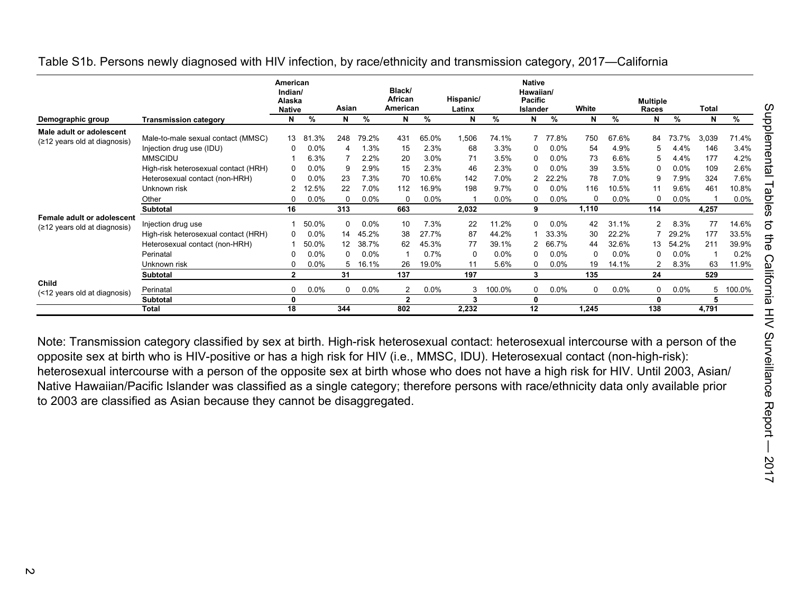|                                                              |                                                                                                           | American<br>Indian/<br>Alaska<br><b>Native</b> |                                   | Asian                           |                                | Black/<br>African<br>American    |                                | Hispanic/<br>Latinx |                                 | <b>Native</b><br>Hawaiian/<br><b>Pacific</b><br>Islander |                                | White                 |                                 | <b>Multiple</b><br><b>Races</b> |                                | Total            |                                 |
|--------------------------------------------------------------|-----------------------------------------------------------------------------------------------------------|------------------------------------------------|-----------------------------------|---------------------------------|--------------------------------|----------------------------------|--------------------------------|---------------------|---------------------------------|----------------------------------------------------------|--------------------------------|-----------------------|---------------------------------|---------------------------------|--------------------------------|------------------|---------------------------------|
| Demographic group                                            | <b>Transmission category</b>                                                                              | N                                              | %                                 | N                               | %                              | N                                | %                              | N                   | %                               | N                                                        | %                              | N                     | %                               | N                               | %                              | N                | %                               |
| Male adult or adolescent<br>$(≥12$ years old at diagnosis)   | Male-to-male sexual contact (MMSC)<br>Injection drug use (IDU)                                            | 13<br>0                                        | .3%<br>-81<br>$0.0\%$             | 248<br>4                        | 79.2%<br>1.3%                  | 431<br>15                        | 65.0%<br>2.3%                  | 1,506<br>68         | 74.1%<br>3.3%                   | 0                                                        | 77.8%<br>$0.0\%$               | 750<br>54             | 67.6%<br>4.9%                   | 84<br>5                         | 73.7%<br>4.4%                  | 3,039<br>146     | 71.4%<br>3.4%                   |
|                                                              | <b>MMSCIDU</b><br>High-risk heterosexual contact (HRH)                                                    |                                                | 6.3%<br>$0.0\%$                   | 9                               | 2.2%<br>2.9%                   | 20<br>15                         | $3.0\%$<br>2.3%                | 71<br>46            | 3.5%<br>2.3%                    | 0<br>$\Omega$                                            | $0.0\%$<br>$0.0\%$             | 73<br>39              | 6.6%<br>3.5%                    | 5<br>0                          | 4.4%<br>0.0%                   | 177<br>109       | 4.2%<br>2.6%                    |
|                                                              | Heterosexual contact (non-HRH)<br>Unknown risk                                                            | 0<br>2                                         | $0.0\%$<br>12.5%                  | 23<br>22                        | 7.3%<br>7.0%                   | 70<br>112                        | 10.6%<br>16.9%                 | 142<br>198          | 7.0%<br>9.7%                    |                                                          | 22.2%<br>$0.0\%$               | 78<br>116<br>$\Omega$ | 7.0%<br>10.5%                   | 9<br>O                          | 7.9%<br>9.6%                   | 324<br>461       | 7.6%<br>10.8%                   |
|                                                              | Other<br>Subtotal                                                                                         | 16                                             | $0.0\%$                           | O<br>313                        | 0.0%                           | 0<br>663                         | $0.0\%$                        | 2,032               | 0.0%                            | 9                                                        | 0.0%                           | 1,110                 | $0.0\%$                         | 114                             | 0.0%                           | 4,257            | 0.0%                            |
| Female adult or adolescent<br>$(≥12$ years old at diagnosis) | Injection drug use<br>High-risk heterosexual contact (HRH)<br>Heterosexual contact (non-HRH)<br>Perinatal | 0                                              | 50.0%<br>$0.0\%$<br>50.0%<br>0.0% | 0<br>14<br>12 <sup>2</sup><br>0 | 0.0%<br>45.2%<br>38.7%<br>0.0% | 10<br>38<br>62                   | 7.3%<br>27.7%<br>45.3%<br>0.7% | 22<br>87<br>77<br>0 | 11.2%<br>44.2%<br>39.1%<br>0.0% | $\Omega$<br>$\Omega$                                     | 0.0%<br>33.3%<br>66.7%<br>0.0% | 42<br>30<br>44<br>0   | 31.1%<br>22.2%<br>32.6%<br>0.0% | $\overline{2}$<br>13<br>0       | 8.3%<br>29.2%<br>54.2%<br>0.0% | 77<br>177<br>211 | 14.6%<br>33.5%<br>39.9%<br>0.2% |
|                                                              | Unknown risk<br>Subtotal                                                                                  | $\mathbf{2}$                                   | $0.0\%$                           | 5<br>31                         | 16.1%                          | 26<br>137                        | 19.0%                          | 11<br>197           | 5.6%                            | $\Omega$<br>3                                            | 0.0%                           | 19<br>135             | 14.1%                           | 2<br>24                         | 8.3%                           | 63<br>529        | 11.9%                           |
| Child<br>(<12 years old at diagnosis)                        | Perinatal<br>Subtotal                                                                                     | 0<br>0                                         | $0.0\%$                           | 0                               | 0.0%                           | $\overline{2}$<br>$\overline{2}$ | $0.0\%$                        | 3<br>3              | 100.0%                          | $\Omega$<br>0                                            | $0.0\%$                        | $\Omega$              | $0.0\%$                         | 0<br>0                          | 0.0%                           | 5<br>5           | 100.0%                          |
|                                                              | <b>Total</b>                                                                                              | 18                                             |                                   | 344                             |                                | 802                              |                                | 2,232               |                                 | 12                                                       |                                | 1,245                 |                                 | 138                             |                                | 4,791            |                                 |

Table S1b. Persons newly diagnosed with HIV infection, by race/ethnicity and transmission category, 2017—California

Note: Transmission category classified by sex at birth. High-risk heterosexual contact: heterosexual intercourse with a person of the opposite sex at birth who is HIV-positive or has a high risk for HIV (i.e., MMSC, IDU). Heterosexual contact (non-high-risk): heterosexual intercourse with a person of the opposite sex at birth whose who does not have a high risk for HIV. Until 2003, Asian/ Native Hawaiian/Pacific Islander was classified as a single category; therefore persons with race/ethnicity data only available prior to 2003 are classified as Asian because they cannot be disaggregated.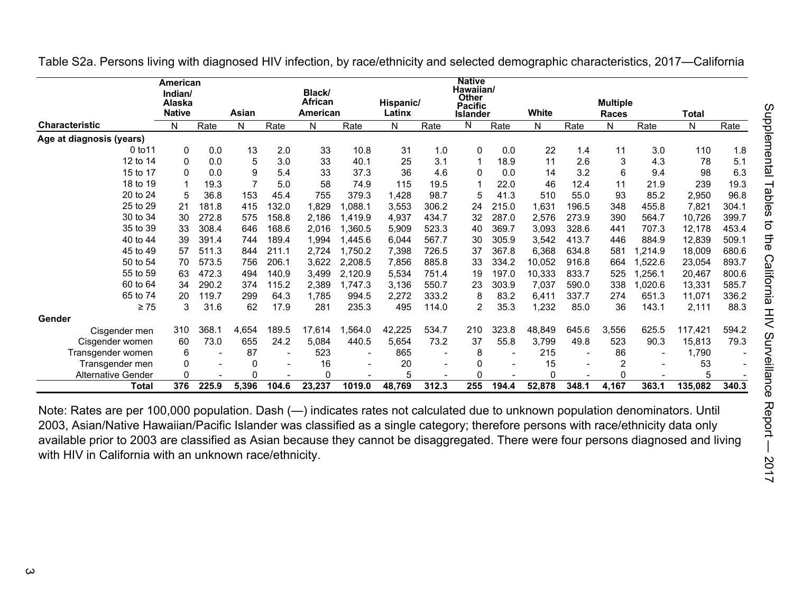|                           | <b>American</b>   |       |                |                          |                          |                          |           |                          | <b>Native</b>                        |                          |          |       |                 |         |         |       |
|---------------------------|-------------------|-------|----------------|--------------------------|--------------------------|--------------------------|-----------|--------------------------|--------------------------------------|--------------------------|----------|-------|-----------------|---------|---------|-------|
|                           | Indian/<br>Alaska |       |                |                          | Black/<br><b>African</b> |                          | Hispanic/ |                          | Hawaiian/<br>Other<br><b>Pacific</b> |                          |          |       | <b>Multiple</b> |         |         |       |
|                           | <b>Native</b>     |       | Asian          |                          | American                 |                          | Latinx    |                          | Islander                             |                          | White    |       | <b>Races</b>    |         | Total   |       |
| <b>Characteristic</b>     | N                 | Rate  | N              | Rate                     | N                        | Rate                     | N         | Rate                     | N                                    | Rate                     | N        | Rate  | N               | Rate    | N       | Rate  |
| Age at diagnosis (years)  |                   |       |                |                          |                          |                          |           |                          |                                      |                          |          |       |                 |         |         |       |
| 0 to 11                   | 0                 | 0.0   | 13             | 2.0                      | 33                       | 10.8                     | 31        | 1.0                      | 0                                    | 0.0                      | 22       | 1.4   | 11              | 3.0     | 110     | 1.8   |
| 12 to 14                  | $\Omega$          | 0.0   | 5              | 3.0                      | 33                       | 40.1                     | 25        | 3.1                      | 1                                    | 18.9                     | 11       | 2.6   | 3               | 4.3     | 78      | 5.1   |
| 15 to 17                  | <sup>0</sup>      | 0.0   | 9              | 5.4                      | 33                       | 37.3                     | 36        | 4.6                      | 0                                    | 0.0                      | 14       | 3.2   | 6               | 9.4     | 98      | 6.3   |
| 18 to 19                  |                   | 19.3  | $\overline{7}$ | 5.0                      | 58                       | 74.9                     | 115       | 19.5                     |                                      | 22.0                     | 46       | 12.4  | 11              | 21.9    | 239     | 19.3  |
| 20 to 24                  | 5                 | 36.8  | 153            | 45.4                     | 755                      | 379.3                    | 1,428     | 98.7                     | 5                                    | 41.3                     | 510      | 55.0  | 93              | 85.2    | 2,950   | 96.8  |
| 25 to 29                  | 21                | 181.8 | 415            | 32.0                     | 1,829                    | 1.088.1                  | 3,553     | 306.2                    | 24                                   | 215.0                    | 1,631    | 196.5 | 348             | 455.8   | 7,821   | 304.1 |
| 30 to 34                  | 30                | 272.8 | 575            | 158.8                    | 2,186                    | 1.419.9                  | 4,937     | 434.7                    | 32                                   | 287.0                    | 2,576    | 273.9 | 390             | 564.7   | 10,726  | 399.7 |
| 35 to 39                  | 33                | 308.4 | 646            | 168.6                    | 2.016                    | 1,360.5                  | 5,909     | 523.3                    | 40                                   | 369.7                    | 3,093    | 328.6 | 441             | 707.3   | 12,178  | 453.4 |
| 40 to 44                  | 39                | 391.4 | 744            | 189.4                    | 1,994                    | 1,445.6                  | 6,044     | 567.7                    | 30                                   | 305.9                    | 3,542    | 413.7 | 446             | 884.9   | 12,839  | 509.1 |
| 45 to 49                  | 57                | 511.3 | 844            | 211.1                    | 2,724                    | 1,750.2                  | 7,398     | 726.5                    | 37                                   | 367.8                    | 6,368    | 634.8 | 581             | ,214.9  | 18,009  | 680.6 |
| 50 to 54                  | 70                | 573.5 | 756            | 206.1                    | 3,622                    | 2,208.5                  | 7,856     | 885.8                    | 33                                   | 334.2                    | 10,052   | 916.8 | 664             | ,522.6  | 23,054  | 893.7 |
| 55 to 59                  | 63                | 472.3 | 494            | 140.9                    | 3.499                    | 2,120.9                  | 5,534     | 751.4                    | 19                                   | 197.0                    | 10,333   | 833.7 | 525             | ,256.1  | 20,467  | 800.6 |
| 60 to 64                  | 34                | 290.2 | 374            | 115.2                    | 2,389                    | 1,747.3                  | 3,136     | 550.7                    | 23                                   | 303.9                    | 7,037    | 590.0 | 338             | 0.020.6 | 13,331  | 585.7 |
| 65 to 74                  | 20                | 119.7 | 299            | 64.3                     | 1,785                    | 994.5                    | 2,272     | 333.2                    | 8                                    | 83.2                     | 6,411    | 337.7 | 274             | 651.3   | 11,071  | 336.2 |
| $\geq 75$                 | 3                 | 31.6  | 62             | 17.9                     | 281                      | 235.3                    | 495       | 114.0                    | 2                                    | 35.3                     | 1,232    | 85.0  | 36              | 143.1   | 2,111   | 88.3  |
| Gender                    |                   |       |                |                          |                          |                          |           |                          |                                      |                          |          |       |                 |         |         |       |
| Cisgender men             | 310               | 368.1 | 4,654          | 189.5                    | 17,614                   | 1,564.0                  | 42,225    | 534.7                    | 210                                  | 323.8                    | 48,849   | 645.6 | 3,556           | 625.5   | 117,421 | 594.2 |
| Cisgender women           | 60                | 73.0  | 655            | 24.2                     | 5,084                    | 440.5                    | 5,654     | 73.2                     | 37                                   | 55.8                     | 3,799    | 49.8  | 523             | 90.3    | 15,813  | 79.3  |
| Transgender women         | 6                 |       | 87             |                          | 523                      | $\overline{\phantom{a}}$ | 865       | $\overline{\phantom{a}}$ | 8                                    | $\overline{\phantom{a}}$ | 215      |       | 86              |         | 1.790   |       |
| Transgender men           | 0                 |       | 0              | $\overline{\phantom{a}}$ | 16                       |                          | 20        | $\overline{\phantom{a}}$ | 0                                    |                          | 15       |       |                 |         | 53      |       |
| <b>Alternative Gender</b> | $\Omega$          |       | 0              |                          | 0                        |                          | 5         |                          | 0                                    |                          | $\Omega$ |       | ∩               |         | 5       |       |
| Total                     | 376               | 225.9 | 5,396          | 104.6                    | 23,237                   | 1019.0                   | 48,769    | 312.3                    | 255                                  | 194.4                    | 52,878   | 348.1 | 4,167           | 363.1   | 135,082 | 340.3 |

Table S2a. Persons living with diagnosed HIV infection, by race/ethnicity and selected demographic characteristics, 2017—California

Note: Rates are per 100,000 population. Dash (—) indicates rates not calculated due to unknown population denominators. Until 2003, Asian/Native Hawaiian/Pacific Islander was classified as a single category; therefore persons with race/ethnicity data only available prior to 2003 are classified as Asian because they cannot be disaggregated. There were four persons diagnosed and living with HIV in California with an unknown race/ethnicity.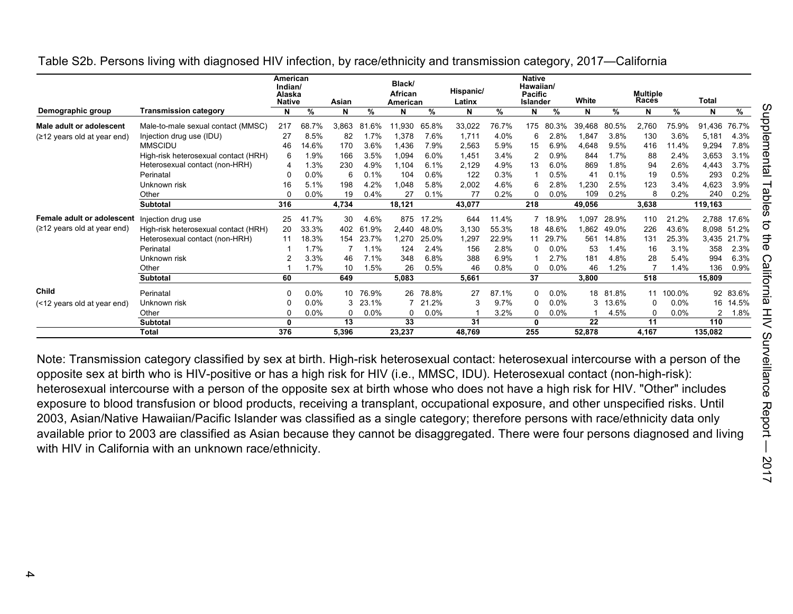|                                       |                                      | American<br>Indian/<br>Alaska<br><b>Native</b> |         | Asian    |           | Black/<br>African<br>American |       | Hispanic/<br>Latinx |       | <b>Native</b><br>Hawaiian/<br><b>Pacific</b><br><b>Islander</b> |           | White           |          | <b>Multiple</b><br>Races |           | Total   |             |
|---------------------------------------|--------------------------------------|------------------------------------------------|---------|----------|-----------|-------------------------------|-------|---------------------|-------|-----------------------------------------------------------------|-----------|-----------------|----------|--------------------------|-----------|---------|-------------|
| Demographic group                     | <b>Transmission category</b>         | N                                              | %       | N        | %         | N                             | %     | N                   | %     | N                                                               | %         | N               | %        | N                        | %         | N       | %           |
| Male adult or adolescent              | Male-to-male sexual contact (MMSC)   | 217                                            | 68.7%   | 3.863    | .6%<br>81 | 11.930                        | 65.8% | 33,022              | 76.7% | 175                                                             | .3%<br>80 | 39.468          | 80.5%    | 2,760                    | 75.9%     | 91,436  | 76.7%       |
| $(212 \text{ years old at year end})$ | Injection drug use (IDU)             | 27                                             | 8.5%    | 82       | 1.7%      | 1,378                         | 7.6%  | 1.711               | 4.0%  |                                                                 | 2.8%      | 1.847           | 3.8%     | 130                      | 3.6%      | 5,181   | 4.3%        |
|                                       | <b>MMSCIDU</b>                       | 46                                             | 14.6%   | 170      | 3.6%      | 1,436                         | 7.9%  | 2,563               | 5.9%  | 15                                                              | 6.9%      | 4,648           | 9.5%     | 416                      | 11.4%     | 9,294   | 7.8%        |
|                                       | High-risk heterosexual contact (HRH) | 6                                              | 1.9%    | 166      | 3.5%      | 1,094                         | 6.0%  | 1.451               | 3.4%  |                                                                 | 0.9%      | 844             | 1.7%     | 88                       | 2.4%      | 3,653   | 3.1%        |
|                                       | Heterosexual contact (non-HRH)       | 4                                              | 1.3%    | 230      | 4.9%      | 1,104                         | 6.1%  | 2,129               | 4.9%  | 13                                                              | 6.0%      | 869             | 1.8%     | 94                       | 2.6%      | 4,443   | 3.7%        |
|                                       | Perinatal                            | $\Omega$                                       | $0.0\%$ | 6        | 0.1%      | 104                           | 0.6%  | 122                 | 0.3%  |                                                                 | 0.5%      | 41              | 0.1%     | 19                       | 0.5%      | 293     | 0.2%        |
|                                       | Unknown risk                         | 16                                             | 5.1%    | 198      | 4.2%      | 1,048                         | 5.8%  | 2,002               | 4.6%  |                                                                 | 2.8%      | ,230            | 2.5%     | 123                      | 3.4%      | 4,623   | 3.9%        |
|                                       | Other                                | $\Omega$                                       | $0.0\%$ | 19       | 0.4%      | 27                            | 0.1%  | 77                  | 0.2%  |                                                                 | 0.0%      | 109             | 0.2%     |                          | 0.2%      | 240     | 0.2%        |
|                                       | Subtotal                             | 316                                            |         | 4,734    |           | 18,121                        |       | 43,077              |       | 218                                                             |           | 49,056          |          | 3,638                    |           | 119,163 |             |
| Female adult or adolescent            | Injection drug use                   | 25                                             | 41.7%   | 30       | 4.6%      | 875                           | 17.2% | 644                 | 11.4% |                                                                 | 7 18.9%   | 1,097           | 28.9%    | 110                      | 21.2%     | 2,788   | 17.6%       |
| $(212 \text{ years old at year end})$ | High-risk heterosexual contact (HRH) | 20                                             | 33.3%   | 402      | .9%<br>61 | 2.440                         | 48.0% | 3.130               | 55.3% | 18                                                              | 48.6%     | 1,862           | 49.0%    | 226                      | 43.6%     |         | 8,098 51.2% |
|                                       | Heterosexual contact (non-HRH)       | 11                                             | 18.3%   | 154      | 23.7%     | 1,270                         | 25.0% | 1,297               | 22.9% | 11                                                              | 29.7%     | 561             | 14.8%    | 131                      | 25.3%     | 3,435   | 21.7%       |
|                                       | Perinatal                            |                                                | 1.7%    |          | 1.1%      | 124                           | 2.4%  | 156                 | 2.8%  |                                                                 | 0.0%      | 53              | 1.4%     | 16                       | 3.1%      | 358     | 2.3%        |
|                                       | Unknown risk                         |                                                | 3.3%    | 46       | 7.1%      | 348                           | 6.8%  | 388                 | 6.9%  |                                                                 | 2.7%      | 181             | 4.8%     | 28                       | 5.4%      | 994     | 6.3%        |
|                                       | Other                                |                                                | 1.7%    | 10       | 1.5%      | 26                            | 0.5%  | 46                  | 0.8%  |                                                                 | 0.0%      | 46              | 1.2%     |                          | 1.4%      | 136     | 0.9%        |
|                                       | <b>Subtotal</b>                      | 60                                             |         | 649      |           | 5,083                         |       | 5,661               |       | 37                                                              |           | 3.800           |          | 518                      |           | 15,809  |             |
| Child                                 | Perinatal                            | $\Omega$                                       | $0.0\%$ | 10       | 76.9%     | 26                            | 78.8% | 27                  | 87.1% |                                                                 | $0.0\%$   |                 | 18 81.8% |                          | 11 100.0% |         | 92 83.6%    |
| (<12 years old at year end)           | Unknown risk                         | 0                                              | $0.0\%$ | 3        | 23.1%     |                               | 21.2% |                     | 9.7%  |                                                                 | $0.0\%$   | 3               | 13.6%    | $\Omega$                 | $0.0\%$   | 16      | 14.5%       |
|                                       | Other                                | 0                                              | $0.0\%$ | $\Omega$ | 0.0%      | 0                             | 0.0%  |                     | 3.2%  |                                                                 | $0.0\%$   |                 | 4.5%     | $\Omega$                 | 0.0%      | 2       | 1.8%        |
|                                       | <b>Subtotal</b>                      | 0                                              |         | 13       |           | 33                            |       | 31                  |       | $\mathbf{0}$                                                    |           | $\overline{22}$ |          | 11                       |           | 110     |             |
|                                       | Total                                | 376                                            |         | 5,396    |           | 23,237                        |       | 48,769              |       | 255                                                             |           | 52,878          |          | 4,167                    |           | 135,082 |             |

Table S2b. Persons living with diagnosed HIV infection, by race/ethnicity and transmission category, 2017—California

Note: Transmission category classified by sex at birth. High-risk heterosexual contact: heterosexual intercourse with a person of the opposite sex at birth who is HIV-positive or has a high risk for HIV (i.e., MMSC, IDU). Heterosexual contact (non-high-risk): heterosexual intercourse with a person of the opposite sex at birth whose who does not have a high risk for HIV. "Other" includes exposure to blood transfusion or blood products, receiving a transplant, occupational exposure, and other unspecified risks. Until 2003, Asian/Native Hawaiian/Pacific Islander was classified as a single category; therefore persons with race/ethnicity data only available prior to 2003 are classified as Asian because they cannot be disaggregated. There were four persons diagnosed and living with HIV in California with an unknown race/ethnicity.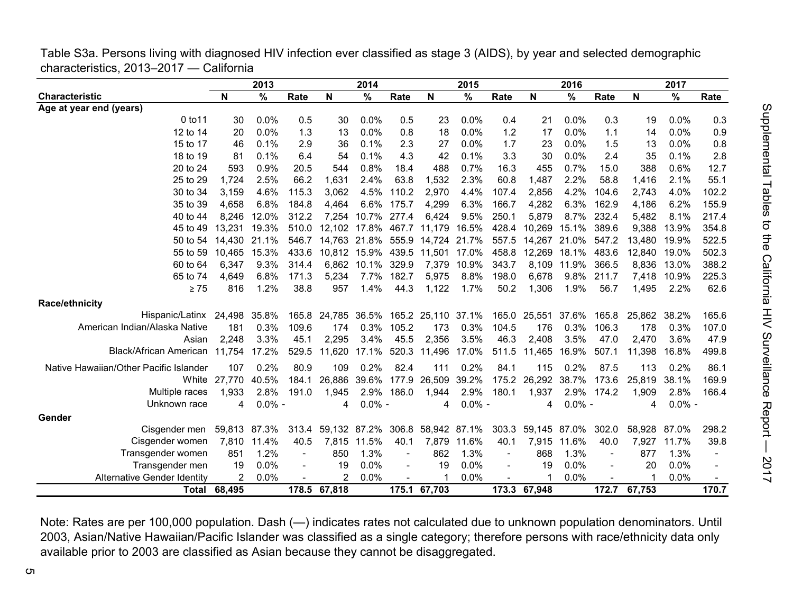|                                         | Table S3a. Persons living with diagnosed HIV infection ever classified as stage 3 (AIDS), by year and selected demographic |  |
|-----------------------------------------|----------------------------------------------------------------------------------------------------------------------------|--|
| characteristics, 2013–2017 — California |                                                                                                                            |  |

|                                        |                     | 2013      |                |                | 2014        |                |                                 | 2015      |       |              | 2016      |                |        | 2017      |       |
|----------------------------------------|---------------------|-----------|----------------|----------------|-------------|----------------|---------------------------------|-----------|-------|--------------|-----------|----------------|--------|-----------|-------|
| <b>Characteristic</b>                  | N                   | %         | Rate           | N              | %           | Rate           | N                               | %         | Rate  | N            | %         | Rate           | N      | %         | Rate  |
| Age at year end (years)                |                     |           |                |                |             |                |                                 |           |       |              |           |                |        |           |       |
| 0 to 11                                | 30                  | 0.0%      | 0.5            | 30             | 0.0%        | 0.5            | 23                              | 0.0%      | 0.4   | 21           | 0.0%      | 0.3            | 19     | 0.0%      | 0.3   |
| 12 to 14                               | 20                  | 0.0%      | 1.3            | 13             | 0.0%        | 0.8            | 18                              | 0.0%      | 1.2   | 17           | 0.0%      | 1.1            | 14     | 0.0%      | 0.9   |
| 15 to 17                               | 46                  | 0.1%      | 2.9            | 36             | 0.1%        | 2.3            | 27                              | 0.0%      | 1.7   | 23           | 0.0%      | 1.5            | 13     | 0.0%      | 0.8   |
| 18 to 19                               | 81                  | 0.1%      | 6.4            | 54             | 0.1%        | 4.3            | 42                              | 0.1%      | 3.3   | 30           | 0.0%      | 2.4            | 35     | 0.1%      | 2.8   |
| 20 to 24                               | 593                 | 0.9%      | 20.5           | 544            | 0.8%        | 18.4           | 488                             | 0.7%      | 16.3  | 455          | 0.7%      | 15.0           | 388    | 0.6%      | 12.7  |
| 25 to 29                               | 1,724               | 2.5%      | 66.2           | 1,631          | 2.4%        | 63.8           | 1,532                           | 2.3%      | 60.8  | 1,487        | 2.2%      | 58.8           | 1,416  | 2.1%      | 55.1  |
| 30 to 34                               | 3,159               | 4.6%      | 115.3          | 3,062          | 4.5%        | 110.2          | 2,970                           | 4.4%      | 107.4 | 2,856        | 4.2%      | 104.6          | 2,743  | 4.0%      | 102.2 |
| 35 to 39                               | 4,658               | 6.8%      | 184.8          | 4,464          | 6.6%        | 175.7          | 4,299                           | 6.3%      | 166.7 | 4,282        | 6.3%      | 162.9          | 4,186  | 6.2%      | 155.9 |
| 40 to 44                               | 8.246               | 12.0%     | 312.2          | 7,254          | 10.7%       | 277.4          | 6,424                           | 9.5%      | 250.1 | 5,879        | 8.7%      | 232.4          | 5,482  | 8.1%      | 217.4 |
| 45 to 49                               | 13.231              | 19.3%     | 510.0          | 12.102         | 17.8%       |                | 467.7 11,179                    | 16.5%     | 428.4 | 10,269       | 15.1%     | 389.6          | 9,388  | 13.9%     | 354.8 |
| 50 to 54                               | 14,430              | 21.1%     | 546.7          | 14,763         |             |                | 21.8% 555.9 14,724 21.7%        |           | 557.5 | 14,267       | 21.0%     | 547.2          | 13,480 | 19.9%     | 522.5 |
| 55 to 59                               | 10,465              | 15.3%     | 433.6          | 10,812         |             |                | 15.9% 439.5 11,501 17.0%        |           | 458.8 | 12,269       | 18.1%     | 483.6          | 12,840 | 19.0%     | 502.3 |
| 60 to 64                               | 6,347               | 9.3%      | 314.4          | 6,862          | 10.1% 329.9 |                | 7,379                           | 10.9%     | 343.7 | 8,109        | 11.9%     | 366.5          | 8,836  | 13.0%     | 388.2 |
| 65 to 74                               | 4.649               | 6.8%      | 171.3          | 5,234          | 7.7%        | 182.7          | 5,975                           | 8.8%      | 198.0 | 6,678        | $9.8\%$   | 211.7          | 7,418  | 10.9%     | 225.3 |
| $\geq 75$                              | 816                 | 1.2%      | 38.8           | 957            | 1.4%        | 44.3           | 1,122                           | 1.7%      | 50.2  | 1,306        | 1.9%      | 56.7           | 1.495  | 2.2%      | 62.6  |
| <b>Race/ethnicity</b>                  |                     |           |                |                |             |                |                                 |           |       |              |           |                |        |           |       |
| Hispanic/Latinx 24.498                 |                     | 35.8%     | 165.8          |                |             |                | 24,785 36.5% 165.2 25,110 37.1% |           |       | 165.0 25,551 | 37.6%     | 165.8          | 25,862 | 38.2%     | 165.6 |
| American Indian/Alaska Native          | 181                 | 0.3%      | 109.6          | 174            | 0.3%        | 105.2          | 173                             | 0.3%      | 104.5 | 176          | 0.3%      | 106.3          | 178    | 0.3%      | 107.0 |
| Asian                                  | 2,248               | 3.3%      | 45.1           | 2,295          | 3.4%        | 45.5           | 2,356                           | 3.5%      | 46.3  | 2,408        | 3.5%      | 47.0           | 2,470  | 3.6%      | 47.9  |
| Black/African American                 | 11,754              | 17.2%     | 529.5          | 11,620         | 17.1%       |                | 520.3 11,496                    | 17.0%     | 511.5 | 11,465       | 16.9%     | 507.1          | 11,398 | 16.8%     | 499.8 |
| Native Hawaiian/Other Pacific Islander | 107                 | 0.2%      | 80.9           | 109            | 0.2%        | 82.4           | 111                             | 0.2%      | 84.1  | 115          | 0.2%      | 87.5           | 113    | 0.2%      | 86.1  |
| White                                  | 27,770              | 40.5%     | 184.1          | 26,886         | 39.6%       | 177.9          | 26,509                          | 39.2%     | 175.2 | 26,292       | 38.7%     | 173.6          | 25,819 | 38.1%     | 169.9 |
| Multiple races                         | 1,933               | 2.8%      | 191.0          | 1,945          | 2.9%        | 186.0          | 1,944                           | 2.9%      | 180.1 | 1,937        | 2.9%      | 174.2          | 1,909  | 2.8%      | 166.4 |
| Unknown race                           | 4                   | $0.0\%$ - |                | 4              | $0.0\%$ -   |                | 4                               | $0.0\%$ - |       | 4            | $0.0\%$ - |                | 4      | $0.0\%$ - |       |
| Gender                                 |                     |           |                |                |             |                |                                 |           |       |              |           |                |        |           |       |
| Cisgender men                          | 59,813 87.3%        |           | 313.4          |                |             |                | 59,132 87.2% 306.8 58,942 87.1% |           | 303.3 | 59,145 87.0% |           | 302.0          | 58,928 | 87.0%     | 298.2 |
| Cisgender women                        | 7,810               | 11.4%     | 40.5           | 7,815          | 11.5%       | 40.1           | 7,879                           | 11.6%     | 40.1  | 7,915        | 11.6%     | 40.0           | 7,927  | 11.7%     | 39.8  |
| Transgender women                      | 851                 | 1.2%      | $\blacksquare$ | 850            | 1.3%        | $\blacksquare$ | 862                             | 1.3%      |       | 868          | 1.3%      | $\blacksquare$ | 877    | 1.3%      |       |
| Transgender men                        | 19                  | 0.0%      |                | 19             | 0.0%        |                | 19                              | 0.0%      |       | 19           | 0.0%      |                | 20     | 0.0%      |       |
| <b>Alternative Gender Identity</b>     | 2                   | 0.0%      |                | $\overline{2}$ | 0.0%        |                | $\mathbf 1$                     | 0.0%      |       | -1           | 0.0%      |                | 1      | 0.0%      |       |
|                                        | <b>Total 68,495</b> |           |                | 178.5 67,818   |             |                | 175.1 67,703                    |           |       | 173.3 67,948 |           | 172.7          | 67,753 |           | 170.7 |

Note: Rates are per 100,000 population. Dash (—) indicates rates not calculated due to unknown population denominators. Until 2003, Asian/Native Hawaiian/Pacific Islander was classified as a single category; therefore persons with race/ethnicity data only available prior to 2003 are classified as Asian because they cannot be disaggregated.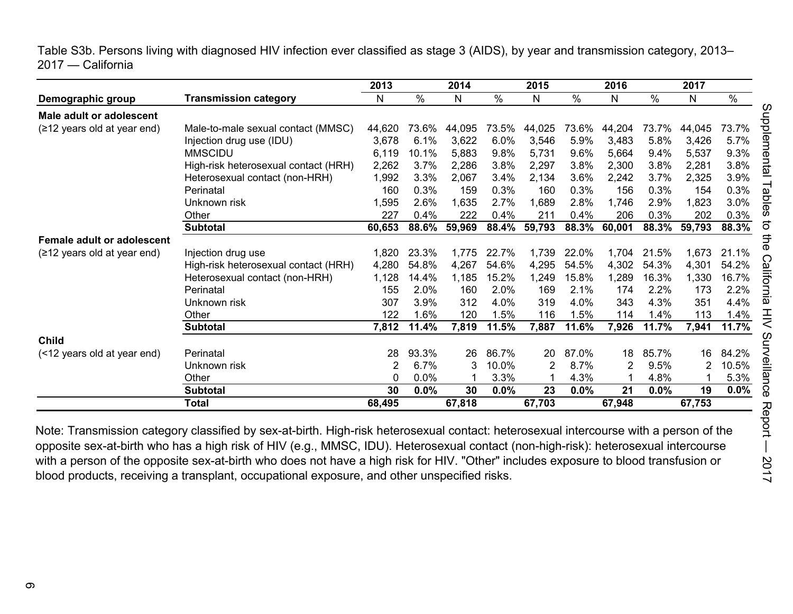Table S3b. Persons living with diagnosed HIV infection ever classified as stage 3 (AIDS), by year and transmission category, 2013– 2017 — California

|                                       |                                      | 2013   |       | 2014   |       | 2015   |         | 2016   |         | 2017   |       |
|---------------------------------------|--------------------------------------|--------|-------|--------|-------|--------|---------|--------|---------|--------|-------|
| Demographic group                     | <b>Transmission category</b>         | N      | $\%$  | N      | $\%$  | N      | %       | N      | $\%$    | N      | $\%$  |
| Male adult or adolescent              |                                      |        |       |        |       |        |         |        |         |        |       |
| (≥12 years old at year end)           | Male-to-male sexual contact (MMSC)   | 44,620 | 73.6% | 44,095 | 73.5% | 44,025 | 73.6%   | 44,204 | 73.7%   | 44,045 | 73.7% |
|                                       | Injection drug use (IDU)             | 3,678  | 6.1%  | 3,622  | 6.0%  | 3,546  | 5.9%    | 3,483  | 5.8%    | 3,426  | 5.7%  |
|                                       | <b>MMSCIDU</b>                       | 6,119  | 10.1% | 5,883  | 9.8%  | 5,731  | 9.6%    | 5,664  | 9.4%    | 5,537  | 9.3%  |
|                                       | High-risk heterosexual contact (HRH) | 2,262  | 3.7%  | 2,286  | 3.8%  | 2,297  | 3.8%    | 2,300  | 3.8%    | 2,281  | 3.8%  |
|                                       | Heterosexual contact (non-HRH)       | 1,992  | 3.3%  | 2,067  | 3.4%  | 2,134  | 3.6%    | 2,242  | 3.7%    | 2,325  | 3.9%  |
|                                       | Perinatal                            | 160    | 0.3%  | 159    | 0.3%  | 160    | 0.3%    | 156    | 0.3%    | 154    | 0.3%  |
|                                       | Unknown risk                         | 1,595  | 2.6%  | 1,635  | 2.7%  | 1,689  | 2.8%    | 1,746  | 2.9%    | 1,823  | 3.0%  |
|                                       | Other                                | 227    | 0.4%  | 222    | 0.4%  | 211    | 0.4%    | 206    | 0.3%    | 202    | 0.3%  |
|                                       | <b>Subtotal</b>                      | 60,653 | 88.6% | 59,969 | 88.4% | 59,793 | 88.3%   | 60,001 | 88.3%   | 59,793 | 88.3% |
| Female adult or adolescent            |                                      |        |       |        |       |        |         |        |         |        |       |
| $(212 \text{ years old at year end})$ | Injection drug use                   | 1,820  | 23.3% | 1,775  | 22.7% | 1,739  | 22.0%   | 1,704  | 21.5%   | 1,673  | 21.1% |
|                                       | High-risk heterosexual contact (HRH) | 4,280  | 54.8% | 4,267  | 54.6% | 4,295  | 54.5%   | 4,302  | 54.3%   | 4,301  | 54.2% |
|                                       | Heterosexual contact (non-HRH)       | 1,128  | 14.4% | 1,185  | 15.2% | 1,249  | 15.8%   | 1,289  | 16.3%   | 1,330  | 16.7% |
|                                       | Perinatal                            | 155    | 2.0%  | 160    | 2.0%  | 169    | 2.1%    | 174    | 2.2%    | 173    | 2.2%  |
|                                       | Unknown risk                         | 307    | 3.9%  | 312    | 4.0%  | 319    | 4.0%    | 343    | 4.3%    | 351    | 4.4%  |
|                                       | Other                                | 122    | 1.6%  | 120    | 1.5%  | 116    | 1.5%    | 114    | 1.4%    | 113    | 1.4%  |
|                                       | <b>Subtotal</b>                      | 7,812  | 11.4% | 7,819  | 11.5% | 7,887  | 11.6%   | 7,926  | 11.7%   | 7,941  | 11.7% |
| <b>Child</b>                          |                                      |        |       |        |       |        |         |        |         |        |       |
| (<12 years old at year end)           | Perinatal                            | 28     | 93.3% | 26     | 86.7% | 20     | 87.0%   | 18     | 85.7%   | 16     | 84.2% |
|                                       | Unknown risk                         | 2      | 6.7%  | 3      | 10.0% | 2      | 8.7%    | 2      | 9.5%    | 2      | 10.5% |
|                                       | Other                                | 0      | 0.0%  |        | 3.3%  |        | 4.3%    |        | 4.8%    |        | 5.3%  |
|                                       | Subtotal                             | 30     | 0.0%  | 30     | 0.0%  | 23     | $0.0\%$ | 21     | $0.0\%$ | 19     | 0.0%  |
|                                       | <b>Total</b>                         | 68,495 |       | 67,818 |       | 67,703 |         | 67,948 |         | 67,753 |       |

Note: Transmission category classified by sex-at-birth. High-risk heterosexual contact: heterosexual intercourse with a person of the opposite sex-at-birth who has a high risk of HIV (e.g., MMSC, IDU). Heterosexual contact (non-high-risk): heterosexual intercourse with a person of the opposite sex-at-birth who does not have a high risk for HIV. "Other" includes exposure to blood transfusion or blood products, receiving a transplant, occupational exposure, and other unspecified risks.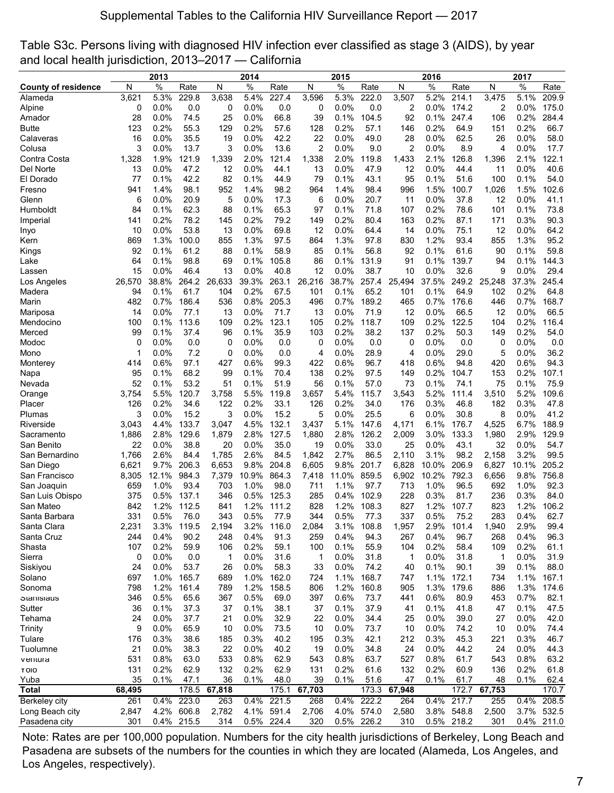| Table S3c. Persons living with diagnosed HIV infection ever classified as stage 3 (AIDS), by year |  |
|---------------------------------------------------------------------------------------------------|--|
| and local health jurisdiction, 2013–2017 — California                                             |  |

|                            | 2013     |              |              |           | 2014         |              |          | 2015            |               |                | 2016         |              |          | 2017         |               |
|----------------------------|----------|--------------|--------------|-----------|--------------|--------------|----------|-----------------|---------------|----------------|--------------|--------------|----------|--------------|---------------|
| <b>County of residence</b> | N        | $\%$         | Rate         | N         | $\%$         | Rate         | N        | $\%$            | Rate          | N              | $\%$         | Rate         | N        | $\%$         | Rate          |
| Alameda                    | 3,621    | 5.3%         | 229.8        | 3,638     | 5.4%         | 227.4        | 3,596    | 5.3%            | 222.0         | 3,507          | 5.2%         | 214.1        | 3,475    | 5.1%         | 209.9         |
| Alpine                     | 0        | 0.0%         | 0.0          | 0         | 0.0%         | 0.0          | 0        | 0.0%            | 0.0           | 2              | 0.0%         | 174.2        | 2        | 0.0%         | 175.0         |
| Amador                     | 28       | 0.0%         | 74.5         | 25        | 0.0%         | 66.8         | 39       | 0.1%            | 104.5         | 92             | 0.1%         | 247.4        | 106      | 0.2%         | 284.4         |
| Butte                      | 123      | 0.2%         | 55.3         | 129       | 0.2%         | 57.6         | 128      | 0.2%            | 57.1          | 146            | 0.2%         | 64.9         | 151      | 0.2%         | 66.7          |
| Calaveras                  | 16       | 0.0%         | 35.5         | 19        | 0.0%         | 42.2         | 22       | $0.0\%$         | 49.0          | 28             | 0.0%         | 62.5         | 26       | 0.0%         | 58.0          |
| Colusa                     | 3        | 0.0%         | 13.7         | 3         | 0.0%         | 13.6         | 2        | 0.0%            | 9.0           | $\overline{2}$ | 0.0%         | 8.9          | 4        | 0.0%         | 17.7          |
| Contra Costa               | 1,328    | 1.9%         | 121.9        | 1,339     | 2.0%         | 121.4        | 1,338    | 2.0%            | 119.8         | 1,433          | 2.1%         | 126.8        | 1,396    | 2.1%         | 122.1         |
| Del Norte                  | 13       | 0.0%         | 47.2         | 12        | 0.0%         | 44.1         | 13       | 0.0%            | 47.9          | 12             | 0.0%         | 44.4         | 11       | 0.0%         | 40.6          |
| El Dorado                  | 77       | 0.1%         | 42.2         | 82        | 0.1%         | 44.9         | 79       | 0.1%            | 43.1          | 95             | 0.1%         | 51.6         | 100      | 0.1%         | 54.0          |
| Fresno                     | 941      | 1.4%         | 98.1         | 952       | 1.4%         | 98.2         | 964      | 1.4%            | 98.4          | 996            | 1.5%         | 100.7        | 1,026    | 1.5%         | 102.6         |
| Glenn                      | 6        | 0.0%         | 20.9         | 5         | 0.0%         | 17.3         | 6        | $0.0\%$         | 20.7          | 11             | 0.0%         | 37.8         | 12       | 0.0%         | 41.1          |
| Humboldt                   | 84       | 0.1%         | 62.3         | 88        | 0.1%         | 65.3         | 97       | 0.1%            | 71.8          | 107            | 0.2%         | 78.6         | 101      | 0.1%         | 73.8          |
| Imperial                   | 141      | 0.2%         | 78.2         | 145       | 0.2%         | 79.2         | 149      | 0.2%            | 80.4          | 163            | 0.2%         | 87.1         | 171      | 0.3%         | 90.3          |
| Inyo                       | 10       | 0.0%         | 53.8         | 13        | 0.0%         | 69.8         | 12       | $0.0\%$         | 64.4          | 14             | 0.0%         | 75.1         | 12       | $0.0\%$      | 64.2          |
| Kern                       | 869      | 1.3%<br>0.1% | 100.0        | 855<br>88 | 1.3%<br>0.1% | 97.5<br>58.9 | 864      | 1.3%            | 97.8          | 830            | 1.2%<br>0.1% | 93.4<br>61.6 | 855      | 1.3%<br>0.1% | 95.2          |
| Kings                      | 92<br>64 | 0.1%         | 61.2<br>98.8 | 69        | 0.1%         | 105.8        | 85<br>86 | $0.1\%$<br>0.1% | 56.8<br>131.9 | 92<br>91       | 0.1%         | 139.7        | 90<br>94 | 0.1%         | 59.8<br>144.3 |
| Lake<br>Lassen             | 15       | 0.0%         | 46.4         | 13        | 0.0%         | 40.8         | 12       | 0.0%            | 38.7          | 10             | 0.0%         | 32.6         | 9        | 0.0%         | 29.4          |
| Los Angeles                | 26,570   | 38.8%        | 264.2        | 26,633    | 39.3%        | 263.1        | 26,216   | 38.7%           | 257.4         | 25,494         | 37.5%        | 249.2        | 25,248   | 37.3%        | 245.4         |
| Madera                     | 94       | 0.1%         | 61.7         | 104       | 0.2%         | 67.5         | 101      | 0.1%            | 65.2          | 101            | 0.1%         | 64.9         | 102      | 0.2%         | 64.8          |
| Marin                      | 482      | 0.7%         | 186.4        | 536       | 0.8%         | 205.3        | 496      | 0.7%            | 189.2         | 465            | 0.7%         | 176.6        | 446      | 0.7%         | 168.7         |
| Mariposa                   | 14       | 0.0%         | 77.1         | 13        | 0.0%         | 71.7         | 13       | 0.0%            | 71.9          | 12             | 0.0%         | 66.5         | 12       | 0.0%         | 66.5          |
| Mendocino                  | 100      | 0.1%         | 113.6        | 109       | 0.2%         | 123.1        | 105      | 0.2%            | 118.7         | 109            | 0.2%         | 122.5        | 104      | 0.2%         | 116.4         |
| Merced                     | 99       | 0.1%         | 37.4         | 96        | 0.1%         | 35.9         | 103      | 0.2%            | 38.2          | 137            | 0.2%         | 50.3         | 149      | 0.2%         | 54.0          |
| Modoc                      | 0        | 0.0%         | 0.0          | 0         | 0.0%         | 0.0          | 0        | $0.0\%$         | 0.0           | 0              | 0.0%         | 0.0          | 0        | 0.0%         | 0.0           |
| Mono                       | 1        | 0.0%         | 7.2          | 0         | 0.0%         | 0.0          | 4        | $0.0\%$         | 28.9          | 4              | 0.0%         | 29.0         | 5        | 0.0%         | 36.2          |
| Monterey                   | 414      | 0.6%         | 97.1         | 427       | 0.6%         | 99.3         | 422      | 0.6%            | 96.7          | 418            | 0.6%         | 94.8         | 420      | 0.6%         | 94.3          |
| Napa                       | 95       | 0.1%         | 68.2         | 99        | 0.1%         | 70.4         | 138      | 0.2%            | 97.5          | 149            | 0.2%         | 104.7        | 153      | 0.2%         | 107.1         |
| Nevada                     | 52       | 0.1%         | 53.2         | 51        | 0.1%         | 51.9         | 56       | 0.1%            | 57.0          | 73             | 0.1%         | 74.1         | 75       | 0.1%         | 75.9          |
| Orange                     | 3,754    | 5.5%         | 120.7        | 3,758     | 5.5%         | 119.8        | 3,657    | 5.4%            | 115.7         | 3,543          | 5.2%         | 111.4        | 3,510    | 5.2%         | 109.6         |
| Placer                     | 126      | 0.2%         | 34.6         | 122       | 0.2%         | 33.1         | 126      | 0.2%            | 34.0          | 176            | 0.3%         | 46.8         | 182      | 0.3%         | 47.8          |
| Plumas                     | 3        | 0.0%         | 15.2         | 3         | 0.0%         | 15.2         | 5        | 0.0%            | 25.5          | 6              | 0.0%         | 30.8         | 8        | 0.0%         | 41.2          |
| Riverside                  | 3,043    | 4.4%         | 133.7        | 3,047     | 4.5%         | 132.1        | 3,437    | 5.1%            | 147.6         | 4,171          | 6.1%         | 176.7        | 4,525    | 6.7%         | 188.9         |
| Sacramento                 | 1,886    | 2.8%         | 129.6        | 1,879     | 2.8%         | 127.5        | 1,880    | 2.8%            | 126.2         | 2,009          | 3.0%         | 133.3        | 1,980    | 2.9%         | 129.9         |
| San Benito                 | 22       | 0.0%         | 38.8         | 20        | 0.0%         | 35.0         | 19       | $0.0\%$         | 33.0          | 25             | 0.0%         | 43.1         | 32       | $0.0\%$      | 54.7          |
| San Bernardino             | 1,766    | 2.6%         | 84.4         | 1,785     | 2.6%         | 84.5         | 1,842    | 2.7%            | 86.5          | 2,110          | 3.1%         | 98.2         | 2,158    | 3.2%         | 99.5          |
| San Diego                  | 6,621    | 9.7%         | 206.3        | 6,653     | 9.8%         | 204.8        | 6,605    | 9.8%            | 201.7         | 6,828          | 10.0%        | 206.9        | 6,827    | 10.1%        | 205.2         |
| San Francisco              | 8,305    | 12.1%        | 984.3        | 7,379     | 10.9%        | 864.3        | 7,418    | 11.0%           | 859.5         | 6,902          | 10.2%        | 792.3        | 6,656    | 9.8%         | 756.8         |
| San Joaquin                | 659      | 1.0%         | 93.4         | 703       | 1.0%         | 98.0         | 711      | 1.1%            | 97.7          | 713            | 1.0%         | 96.5         | 692      | 1.0%         | 92.3          |
| San Luis Obispo            | 375      | 0.5%         | 137.1        | 346       | 0.5%         | 125.3        | 285      | 0.4%            | 102.9         | 228            | 0.3%         | 81.7         | 236      | 0.3%         | 84.0          |
| San Mateo                  | 842      | 1.2%         | 112.5        | 841       | 1.2%         | 111.2        | 828      | 1.2%            | 108.3         | 827            | 1.2%         | 107.7        | 823      | 1.2%         | 106.2         |
| Santa Barbara              | 331      | 0.5%         | 76.0         | 343       |              | 0.5% 77.9    | 344      | 0.5%            | 77.3          | 337            | 0.5%         | 75.2         | 283      | 0.4%         | 62.7          |
| Santa Clara                | 2,231    | 3.3%         | 119.5        | 2,194     | 3.2%         | 116.0        | 2,084    | 3.1%            | 108.8         | 1,957          | 2.9%         | 101.4        | 1,940    | 2.9%         | 99.4          |
| Santa Cruz<br>Shasta       | 244      | 0.4%         | 90.2         | 248       | 0.4%         | 91.3         | 259      | 0.4%            | 94.3          | 267            | 0.4%         | 96.7         | 268      | 0.4%         | 96.3          |
| Sierra                     | 107      | 0.2%<br>0.0% | 59.9<br>0.0  | 106       | 0.2%<br>0.0% | 59.1<br>31.6 | 100      | 0.1%<br>0.0%    | 55.9<br>31.8  | 104            | 0.2%<br>0.0% | 58.4<br>31.8 | 109      | 0.2%<br>0.0% | 61.1          |
| Siskiyou                   | 0<br>24  | 0.0%         | 53.7         | 1<br>26   | 0.0%         | 58.3         | 1<br>33  | 0.0%            | 74.2          | 1<br>40        | 0.1%         | 90.1         | 1<br>39  | 0.1%         | 31.9<br>88.0  |
| Solano                     | 697      | 1.0%         | 165.7        | 689       | 1.0%         | 162.0        | 724      | 1.1%            | 168.7         | 747            | 1.1%         | 172.1        | 734      | 1.1%         | 167.1         |
| Sonoma                     | 798      | 1.2%         | 161.4        | 789       | 1.2%         | 158.5        | 806      | 1.2%            | 160.8         | 905            | 1.3%         | 179.6        | 886      | 1.3%         | 174.6         |
| <b>Stanisiaus</b>          | 346      | 0.5%         | 65.6         | 367       | 0.5%         | 69.0         | 397      | 0.6%            | 73.7          | 441            | 0.6%         | 80.9         | 453      | 0.7%         | 82.1          |
| Sutter                     | 36       | 0.1%         | 37.3         | 37        | 0.1%         | 38.1         | 37       | 0.1%            | 37.9          | 41             | 0.1%         | 41.8         | 47       | 0.1%         | 47.5          |
| Tehama                     | 24       | 0.0%         | 37.7         | 21        | 0.0%         | 32.9         | 22       | 0.0%            | 34.4          | 25             | 0.0%         | 39.0         | 27       | 0.0%         | 42.0          |
| <b>Trinity</b>             | 9        | 0.0%         | 65.9         | 10        | 0.0%         | 73.5         | 10       | 0.0%            | 73.7          | 10             | 0.0%         | 74.2         | 10       | 0.0%         | 74.4          |
| Tulare                     | 176      | 0.3%         | 38.6         | 185       | 0.3%         | 40.2         | 195      | 0.3%            | 42.1          | 212            | 0.3%         | 45.3         | 221      | 0.3%         | 46.7          |
| Tuolumne                   | 21       | 0.0%         | 38.3         | 22        | 0.0%         | 40.2         | 19       | 0.0%            | 34.8          | 24             | 0.0%         | 44.2         | 24       | 0.0%         | 44.3          |
| ventura                    | 531      | 0.8%         | 63.0         | 533       | 0.8%         | 62.9         | 543      | 0.8%            | 63.7          | 527            | 0.8%         | 61.7         | 543      | 0.8%         | 63.2          |
| Y OIO                      | 131      | 0.2%         | 62.9         | 132       | 0.2%         | 62.9         | 131      | 0.2%            | 61.6          | 132            | 0.2%         | 60.9         | 136      | 0.2%         | 61.8          |
| Yuba                       | 35       | 0.1%         | 47.1         | 36        | 0.1%         | 48.0         | 39       | 0.1%            | 51.6          | 47             | 0.1%         | 61.7         | 48       | 0.1%         | 62.4          |
| Total                      | 68,495   |              | 178.5        | 67,818    |              | 175.1        | 67,703   |                 | 173.3         | 67,948         |              | 172.7        | 67,753   |              | 170.7         |
| Berkeley city              | 261      | 0.4%         | 223.0        | 263       | 0.4%         | 221.5        | 268      | 0.4%            | 222.2         | 264            | $0.4\%$      | 217.7        | 255      | 0.4%         | 208.5         |
| Long Beach city            | 2,847    | 4.2%         | 606.8        | 2,782     | 4.1%         | 591.4        | 2,706    | 4.0%            | 574.0         | 2,580          | 3.8%         | 548.8        | 2,500    | 3.7%         | 532.5         |
| Pasadena city              | 301      |              | 0.4% 215.5   | 314       |              | 0.5% 224.4   | 320      |                 | 0.5% 226.2    | 310            |              | 0.5% 218.2   | 301      |              | 0.4% 211.0    |

Note: Rates are per 100,000 population. Numbers for the city health jurisdictions of Berkeley, Long Beach and Pasadena are subsets of the numbers for the counties in which they are located (Alameda, Los Angeles, and Los Angeles, respectively).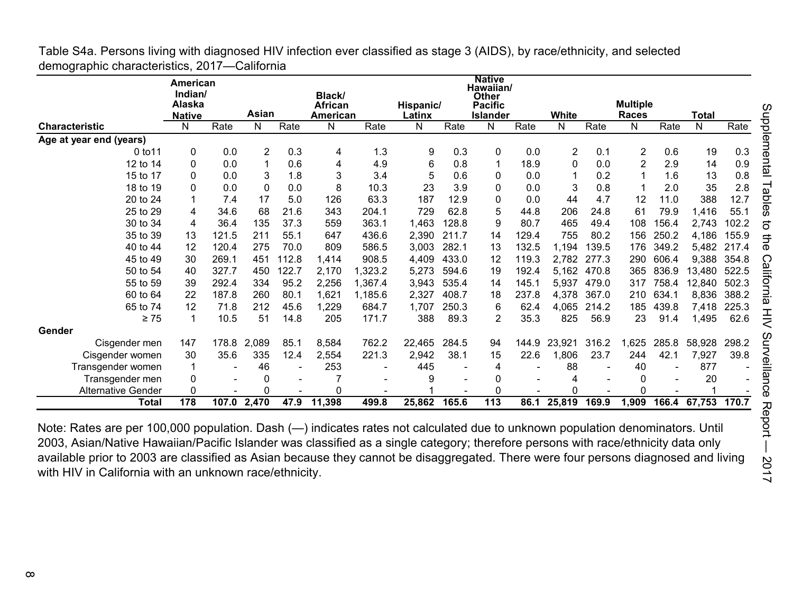|                           | <b>American</b><br>Indian/<br>Alaska<br><b>Native</b> |                          | Asian |       | Black/<br>African<br>American |         | Hispanic/<br>Latinx |       | <b>Native</b><br>Hawaiian/<br><b>Other</b><br><b>Pacific</b><br><b>Islander</b> |       | White  |       | <b>Multiple</b><br><b>Races</b> |       | Total  |       |
|---------------------------|-------------------------------------------------------|--------------------------|-------|-------|-------------------------------|---------|---------------------|-------|---------------------------------------------------------------------------------|-------|--------|-------|---------------------------------|-------|--------|-------|
| <b>Characteristic</b>     | N                                                     | Rate                     | N     | Rate  | N                             | Rate    | N                   | Rate  | N                                                                               | Rate  | N      | Rate  | N                               | Rate  | N      | Rate  |
| Age at year end (years)   |                                                       |                          |       |       |                               |         |                     |       |                                                                                 |       |        |       |                                 |       |        |       |
| 0 to 11                   | 0                                                     | 0.0                      | 2     | 0.3   | 4                             | 1.3     | 9                   | 0.3   | 0                                                                               | 0.0   | 2      | 0.1   | $\overline{c}$                  | 0.6   | 19     | 0.3   |
| 12 to 14                  | 0                                                     | 0.0                      | 1     | 0.6   | 4                             | 4.9     | 6                   | 0.8   | 1                                                                               | 18.9  | 0      | 0.0   | 2                               | 2.9   | 14     | 0.9   |
| 15 to 17                  | 0                                                     | 0.0                      | 3     | 1.8   | 3                             | 3.4     | 5                   | 0.6   | 0                                                                               | 0.0   |        | 0.2   |                                 | 1.6   | 13     | 0.8   |
| 18 to 19                  | 0                                                     | 0.0                      | 0     | 0.0   | 8                             | 10.3    | 23                  | 3.9   | 0                                                                               | 0.0   | 3      | 0.8   |                                 | 2.0   | 35     | 2.8   |
| 20 to 24                  | 1                                                     | 7.4                      | 17    | 5.0   | 126                           | 63.3    | 187                 | 12.9  | 0                                                                               | 0.0   | 44     | 4.7   | 12                              | 11.0  | 388    | 12.7  |
| 25 to 29                  | 4                                                     | 34.6                     | 68    | 21.6  | 343                           | 204.1   | 729                 | 62.8  | 5                                                                               | 44.8  | 206    | 24.8  | 61                              | 79.9  | 1,416  | 55.1  |
| 30 to 34                  | 4                                                     | 36.4                     | 135   | 37.3  | 559                           | 363.1   | 1,463               | 128.8 | 9                                                                               | 80.7  | 465    | 49.4  | 108                             | 156.4 | 2,743  | 102.2 |
| 35 to 39                  | 13                                                    | 121.5                    | 211   | 55.1  | 647                           | 436.6   | 2,390               | 211.7 | 14                                                                              | 129.4 | 755    | 80.2  | 156                             | 250.2 | 4,186  | 155.9 |
| 40 to 44                  | 12                                                    | 120.4                    | 275   | 70.0  | 809                           | 586.5   | 3,003               | 282.1 | 13                                                                              | 132.5 | 1,194  | 139.5 | 176                             | 349.2 | 5,482  | 217.4 |
| 45 to 49                  | 30                                                    | 269.1                    | 451   | 112.8 | 1,414                         | 908.5   | 4,409               | 433.0 | 12                                                                              | 119.3 | 2,782  | 277.3 | 290                             | 606.4 | 9,388  | 354.8 |
| 50 to 54                  | 40                                                    | 327.7                    | 450   | 122.7 | 2,170                         | 1,323.2 | 5,273               | 594.6 | 19                                                                              | 192.4 | 5,162  | 470.8 | 365                             | 836.9 | 13,480 | 522.5 |
| 55 to 59                  | 39                                                    | 292.4                    | 334   | 95.2  | 2,256                         | 1,367.4 | 3,943               | 535.4 | 14                                                                              | 145.1 | 5,937  | 479.0 | 317                             | 758.4 | 12,840 | 502.3 |
| 60 to 64                  | 22                                                    | 187.8                    | 260   | 80.1  | 1,621                         | 1,185.6 | 2,327               | 408.7 | 18                                                                              | 237.8 | 4,378  | 367.0 | 210                             | 634.1 | 8,836  | 388.2 |
| 65 to 74                  | 12                                                    | 71.8                     | 212   | 45.6  | ,229                          | 684.7   | 1,707               | 250.3 | 6                                                                               | 62.4  | 4,065  | 214.2 | 185                             | 439.8 | 7,418  | 225.3 |
| $\geq 75$                 | 1                                                     | 10.5                     | 51    | 14.8  | 205                           | 171.7   | 388                 | 89.3  | 2                                                                               | 35.3  | 825    | 56.9  | 23                              | 91.4  | 1,495  | 62.6  |
| Gender                    |                                                       |                          |       |       |                               |         |                     |       |                                                                                 |       |        |       |                                 |       |        |       |
| Cisgender men             | 147                                                   | 178.8                    | 2,089 | 85.1  | 8,584                         | 762.2   | 22,465              | 284.5 | 94                                                                              | 144.9 | 23,921 | 316.2 | 1,625                           | 285.8 | 58,928 | 298.2 |
| Cisgender women           | 30                                                    | 35.6                     | 335   | 12.4  | 2,554                         | 221.3   | 2,942               | 38.1  | 15                                                                              | 22.6  | 1,806  | 23.7  | 244                             | 42.1  | 7,927  | 39.8  |
| Transgender women         | -1                                                    | $\overline{\phantom{a}}$ | 46    |       | 253                           |         | 445                 |       | 4                                                                               |       | 88     |       | 40                              |       | 877    |       |
| Transgender men           | $\mathbf 0$                                           | $\overline{\phantom{a}}$ | 0     |       |                               |         | 9                   |       | 0                                                                               |       | 4      |       | 0                               |       | 20     |       |
| <b>Alternative Gender</b> | 0                                                     | $\sim$                   | 0     |       | 0                             |         |                     |       | O                                                                               |       | 0      |       | 0                               |       |        |       |
| <b>Total</b>              | 178                                                   | 107.0                    | 2,470 | 47.9  | 11,398                        | 499.8   | 25,862              | 165.6 | 113                                                                             | 86.1  | 25,819 | 169.9 | 1,909                           | 166.4 | 67,753 | 170.7 |

Table S4a. Persons living with diagnosed HIV infection ever classified as stage 3 (AIDS), by race/ethnicity, and selected demographic characteristics, 2017—California

Note: Rates are per 100,000 population. Dash (—) indicates rates not calculated due to unknown population denominators. Until 2003, Asian/Native Hawaiian/Pacific Islander was classified as a single category; therefore persons with race/ethnicity data only available prior to 2003 are classified as Asian because they cannot be disaggregated. There were four persons diagnosed and living with HIV in California with an unknown race/ethnicity.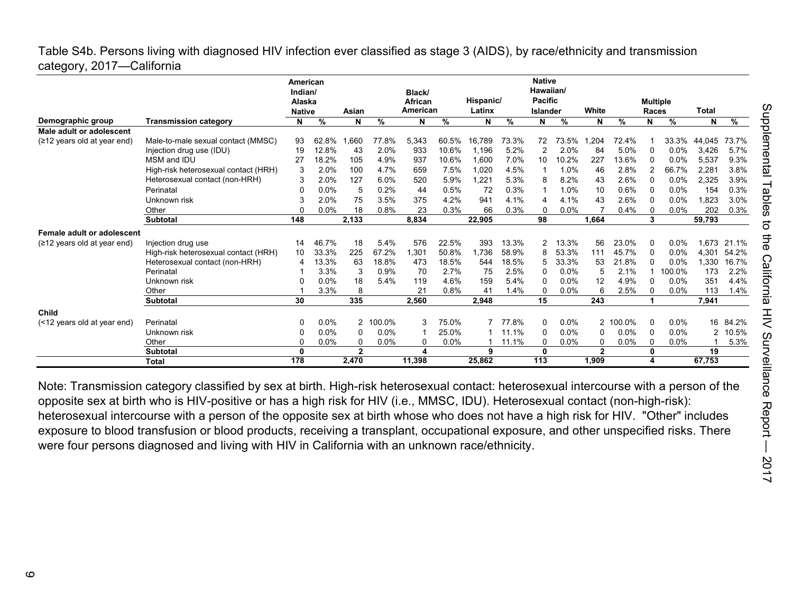## Table S4b. Persons living with diagnosed HIV infection ever classified as stage 3 (AIDS), by race/ethnicity and transmission category, 2017—California

|                                       |                                      | American<br>Indian/ |               |              |         | Black/         |       |           |                 | <b>Native</b><br>Hawaiian/ |       |              |         |                 |               |              |         |
|---------------------------------------|--------------------------------------|---------------------|---------------|--------------|---------|----------------|-------|-----------|-----------------|----------------------------|-------|--------------|---------|-----------------|---------------|--------------|---------|
|                                       |                                      | Alaska              |               |              |         | <b>African</b> |       | Hispanic/ |                 | <b>Pacific</b>             |       |              |         | <b>Multiple</b> |               |              |         |
|                                       |                                      | <b>Native</b>       |               | Asian        |         | American       |       | Latinx    |                 | <b>Islander</b>            |       | White        |         | Races           |               | <b>Total</b> |         |
| Demographic group                     | <b>Transmission category</b>         | N                   | $\frac{9}{6}$ | N            | %       | N              | %     | N         | $\overline{\%}$ | N                          | $\%$  | N            | %       | N               | $\frac{9}{6}$ | N            | %       |
| Male adult or adolescent              |                                      |                     |               |              |         |                |       |           |                 |                            |       |              |         |                 |               |              |         |
| $(212 \text{ years old at year end})$ | Male-to-male sexual contact (MMSC)   | 93                  | 62.8%         | .660         | 77.8%   | 5,343          | 60.5% | 16.789    | 73.3%           | 72                         | 73.5% | .204         | 72.4%   |                 | 33.3%         | 44,045       | 73.7%   |
|                                       | Injection drug use (IDU)             | 19                  | 12.8%         | 43           | 2.0%    | 933            | 10.6% | 1.196     | 5.2%            | 2                          | 2.0%  | 84           | 5.0%    | 0               | 0.0%          | 3,426        | 5.7%    |
|                                       | MSM and IDU                          | 27                  | 18.2%         | 105          | 4.9%    | 937            | 10.6% | 1.600     | 7.0%            | 10                         | 10.2% | 227          | 13.6%   | 0               | 0.0%          | 5,537        | 9.3%    |
|                                       | High-risk heterosexual contact (HRH) | 3                   | 2.0%          | 100          | 4.7%    | 659            | 7.5%  | 1.020     | 4.5%            |                            | 1.0%  | 46           | 2.8%    | 2               | 66.7%         | 2,281        | 3.8%    |
|                                       | Heterosexual contact (non-HRH)       |                     | 2.0%          | 127          | 6.0%    | 520            | 5.9%  | 1.221     | 5.3%            | 8                          | 8.2%  | 43           | 2.6%    | 0               | 0.0%          | 2,325        | 3.9%    |
|                                       | Perinatal                            | ŋ                   | 0.0%          | 5            | 0.2%    | 44             | 0.5%  | 72        | 0.3%            |                            | 1.0%  | 10           | 0.6%    | $\mathbf{0}$    | 0.0%          | 154          | 0.3%    |
|                                       | Unknown risk                         |                     | 2.0%          | 75           | 3.5%    | 375            | 4.2%  | 941       | 4.1%            | 4                          | 4.1%  | 43           | 2.6%    | 0               | 0.0%          | 1.823        | 3.0%    |
|                                       | Other                                |                     | 0.0%          | 18           | 0.8%    | 23             | 0.3%  | 66        | 0.3%            | O                          | 0.0%  |              | 0.4%    | $\mathbf{0}$    | 0.0%          | 202          | 0.3%    |
|                                       | <b>Subtotal</b>                      | 148                 |               | 2,133        |         | 8,834          |       | 22,905    |                 | 98                         |       | 1,664        |         | 3               |               | 59,793       |         |
| Female adult or adolescent            |                                      |                     |               |              |         |                |       |           |                 |                            |       |              |         |                 |               |              |         |
| $(212 \text{ years old at year end})$ | Injection drug use                   | 14                  | 46.7%         | 18           | 5.4%    | 576            | 22.5% | 393       | 13.3%           | 2                          | 13.3% | 56           | 23.0%   | 0               | 0.0%          | 1,673        | 21.1%   |
|                                       | High-risk heterosexual contact (HRH) | 10                  | 33.3%         | 225          | 67.2%   | 1,301          | 50.8% | 1.736     | 58.9%           | 8                          | 53.3% | 111          | 45.7%   | $\Omega$        | 0.0%          | 4,301        | 54.2%   |
|                                       | Heterosexual contact (non-HRH)       | 4                   | 13.3%         | 63           | 18.8%   | 473            | 18.5% | 544       | 18.5%           | 5                          | 33.3% | 53           | 21.8%   | 0               | 0.0%          | 1,330        | 16.7%   |
|                                       | Perinatal                            |                     | 3.3%          | 3            | 0.9%    | 70             | 2.7%  | 75        | 2.5%            | $\Omega$                   | 0.0%  | 5            | 2.1%    |                 | 100.0%        | 173          | 2.2%    |
|                                       | Unknown risk                         |                     | 0.0%          | 18           | 5.4%    | 119            | 4.6%  | 159       | 5.4%            | 0                          | 0.0%  | 12           | 4.9%    | $\mathbf{0}$    | 0.0%          | 351          | 4.4%    |
|                                       | Other                                |                     | 3.3%          | 8            |         | 21             | 0.8%  | 41        | 1.4%            |                            | 0.0%  | 6            | 2.5%    | 0               | 0.0%          | 113          | 1.4%    |
|                                       | <b>Subtotal</b>                      | 30                  |               | 335          |         | 2.560          |       | 2.948     |                 | 15                         |       | 243          |         |                 |               | 7,941        |         |
| Child                                 |                                      |                     |               |              |         |                |       |           |                 |                            |       |              |         |                 |               |              |         |
| (<12 years old at year end)           | Perinatal                            | O                   | 0.0%          | 2            | 100.0%  | 3              | 75.0% |           | 77.8%           | $\Omega$                   | 0.0%  | $\mathbf{2}$ | 100.0%  | $\mathbf{0}$    | 0.0%          | 16           | 84.2%   |
|                                       | Unknown risk                         |                     | 0.0%          | 0            | 0.0%    | 1              | 25.0% |           | 11.1%           | $\Omega$                   | 0.0%  | 0            | 0.0%    | 0               | 0.0%          | 2            | $0.5\%$ |
|                                       | Other                                |                     | 0.0%          | 0            | $0.0\%$ | 0              | 0.0%  |           | 11.1%           | 0                          | 0.0%  | 0            | $0.0\%$ | 0               | $0.0\%$       |              | 5.3%    |
|                                       | <b>Subtotal</b>                      | 0                   |               | $\mathbf{2}$ |         | Δ              |       | 9         |                 | $\bf{0}$                   |       | $\mathbf{2}$ |         | 0               |               | 19           |         |
|                                       | <b>Total</b>                         | 178                 |               | 2.470        |         | 11,398         |       | 25,862    |                 | 113                        |       | 1,909        |         | 4               |               | 67,753       |         |

Note: Transmission category classified by sex at birth. High-risk heterosexual contact: heterosexual intercourse with a person of the opposite sex at birth who is HIV-positive or has a high risk for HIV (i.e., MMSC, IDU). Heterosexual contact (non-high-risk): heterosexual intercourse with a person of the opposite sex at birth whose who does not have a high risk for HIV. "Other" includes exposure to blood transfusion or blood products, receiving a transplant, occupational exposure, and other unspecified risks. There were four persons diagnosed and living with HIV in California with an unknown race/ethnicity.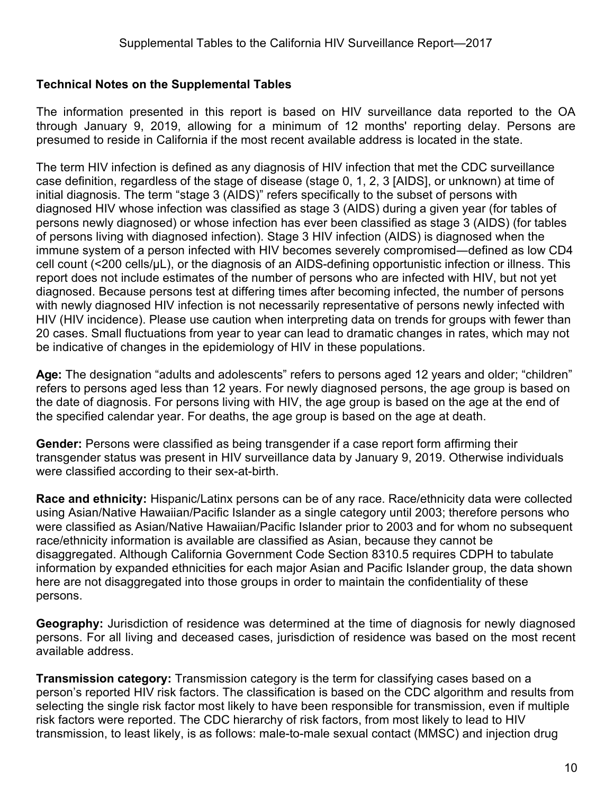## **Technical Notes on the Supplemental Tables**

The information presented in this report is based on HIV surveillance data reported to the OA through January 9, 2019, allowing for a minimum of 12 months' reporting delay. Persons are presumed to reside in California if the most recent available address is located in the state.

The term HIV infection is defined as any diagnosis of HIV infection that met the CDC surveillance case definition, regardless of the stage of disease (stage 0, 1, 2, 3 [AIDS], or unknown) at time of initial diagnosis. The term "stage 3 (AIDS)" refers specifically to the subset of persons with diagnosed HIV whose infection was classified as stage 3 (AIDS) during a given year (for tables of persons newly diagnosed) or whose infection has ever been classified as stage 3 (AIDS) (for tables of persons living with diagnosed infection). Stage 3 HIV infection (AIDS) is diagnosed when the immune system of a person infected with HIV becomes severely compromised―defined as low CD4 cell count (<200 cells/µL), or the diagnosis of an AIDS-defining opportunistic infection or illness. This report does not include estimates of the number of persons who are infected with HIV, but not yet diagnosed. Because persons test at differing times after becoming infected, the number of persons with newly diagnosed HIV infection is not necessarily representative of persons newly infected with HIV (HIV incidence). Please use caution when interpreting data on trends for groups with fewer than 20 cases. Small fluctuations from year to year can lead to dramatic changes in rates, which may not be indicative of changes in the epidemiology of HIV in these populations.

**Age:** The designation "adults and adolescents" refers to persons aged 12 years and older; "children" refers to persons aged less than 12 years. For newly diagnosed persons, the age group is based on the date of diagnosis. For persons living with HIV, the age group is based on the age at the end of the specified calendar year. For deaths, the age group is based on the age at death.

**Gender:** Persons were classified as being transgender if a case report form affirming their transgender status was present in HIV surveillance data by January 9, 2019. Otherwise individuals were classified according to their sex-at-birth.

**Race and ethnicity:** Hispanic/Latinx persons can be of any race. Race/ethnicity data were collected using Asian/Native Hawaiian/Pacific Islander as a single category until 2003; therefore persons who were classified as Asian/Native Hawaiian/Pacific Islander prior to 2003 and for whom no subsequent race/ethnicity information is available are classified as Asian, because they cannot be disaggregated. Although California Government Code Section 8310.5 requires CDPH to tabulate information by expanded ethnicities for each major Asian and Pacific Islander group, the data shown here are not disaggregated into those groups in order to maintain the confidentiality of these persons.

**Geography:** Jurisdiction of residence was determined at the time of diagnosis for newly diagnosed persons. For all living and deceased cases, jurisdiction of residence was based on the most recent available address.

**Transmission category:** Transmission category is the term for classifying cases based on a person's reported HIV risk factors. The classification is based on the CDC algorithm and results from selecting the single risk factor most likely to have been responsible for transmission, even if multiple risk factors were reported. The CDC hierarchy of risk factors, from most likely to lead to HIV transmission, to least likely, is as follows: male-to-male sexual contact (MMSC) and injection drug